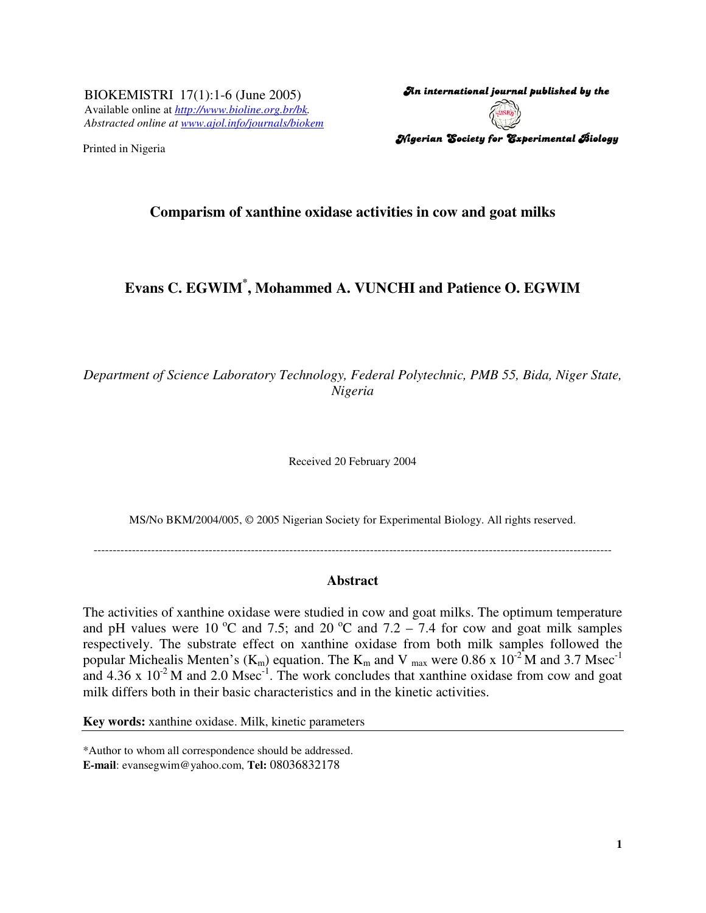BIOKEMISTRI 17(1):1-6 (June 2005) Available online at *http://www.bioline.org.br/bk. Abstracted online at www.ajol.info/journals/biokem*

Printed in Nigeria

An international journal published by the  $\,$ Nigerian Society for Experimental Biology

# **Comparism of xanthine oxidase activities in cow and goat milks**

# **Evans C. EGWIM\* , Mohammed A. VUNCHI and Patience O. EGWIM**

*Department of Science Laboratory Technology, Federal Polytechnic, PMB 55, Bida, Niger State, Nigeria*

Received 20 February 2004

MS/No BKM/2004/005, © 2005 Nigerian Society for Experimental Biology. All rights reserved.

---------------------------------------------------------------------------------------------------------------------------------------

#### **Abstract**

The activities of xanthine oxidase were studied in cow and goat milks. The optimum temperature and pH values were 10  $^{\circ}$ C and 7.5; and 20  $^{\circ}$ C and 7.2 – 7.4 for cow and goat milk samples respectively. The substrate effect on xanthine oxidase from both milk samples followed the popular Michealis Menten's ( $K_m$ ) equation. The  $K_m$  and V  $_{max}$  were 0.86 x 10<sup>-2</sup> M and 3.7 Msec<sup>-1</sup> and  $4.36 \times 10^{-2}$  M and  $2.0$  Msec<sup>-1</sup>. The work concludes that xanthine oxidase from cow and goat milk differs both in their basic characteristics and in the kinetic activities.

**Key words:** xanthine oxidase. Milk, kinetic parameters

\*Author to whom all correspondence should be addressed. **E-mail**: evansegwim@yahoo.com, **Tel:** 08036832178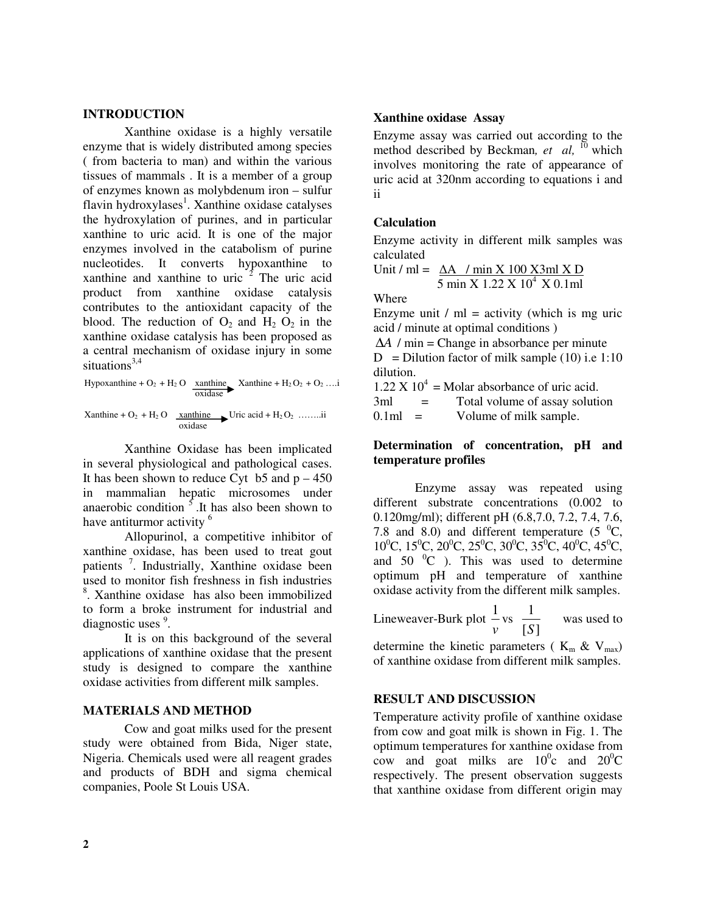## **INTRODUCTION**

Xanthine oxidase is a highly versatile enzyme that is widely distributed among species ( from bacteria to man) and within the various tissues of mammals . It is a member of a group of enzymes known as molybdenum iron – sulfur flavin hydroxylases<sup>1</sup>. Xanthine oxidase catalyses the hydroxylation of purines, and in particular xanthine to uric acid. It is one of the major enzymes involved in the catabolism of purine nucleotides. It converts hypoxanthine to xanthine and xanthine to uric  $\overline{2}$  The uric acid product from xanthine oxidase catalysis contributes to the antioxidant capacity of the blood. The reduction of  $O_2$  and  $H_2 O_2$  in the xanthine oxidase catalysis has been proposed as a central mechanism of oxidase injury in some situations<sup>3,4</sup>

$$
Hypoxanthine + O_2 + H_2 O \xrightarrow[oxidase]{xanthine} Xanthine + H_2 O_2 + O_2 ... i
$$

Xanthine +  $O_2$  +  $H_2$  O xanthine Uric acid +  $H_2 O_2$  ……..ii oxidase

Xanthine Oxidase has been implicated in several physiological and pathological cases. It has been shown to reduce Cyt  $\overline{b}$  b5 and  $\overline{p}$  – 450 in mammalian hepatic microsomes under anaerobic condition  $\frac{5}{5}$ . It has also been shown to have antiturmor activity <sup>6</sup>

Allopurinol, a competitive inhibitor of xanthine oxidase, has been used to treat gout patients<sup>7</sup>. Industrially, Xanthine oxidase been used to monitor fish freshness in fish industries 8 . Xanthine oxidase has also been immobilized to form a broke instrument for industrial and diagnostic uses <sup>9</sup>.

It is on this background of the several applications of xanthine oxidase that the present study is designed to compare the xanthine oxidase activities from different milk samples.

### **MATERIALS AND METHOD**

Cow and goat milks used for the present study were obtained from Bida, Niger state, Nigeria. Chemicals used were all reagent grades and products of BDH and sigma chemical companies, Poole St Louis USA.

## **Xanthine oxidase Assay**

Enzyme assay was carried out according to the method described by Beckman*, et al,* <sup>10</sup> which involves monitoring the rate of appearance of uric acid at 320nm according to equations i and ii

### **Calculation**

Enzyme activity in different milk samples was calculated

Unit / ml = 
$$
\frac{\Delta A}{5}
$$
 min X 100 X3ml X D  
5 min X 1.22 X 10<sup>4</sup> X 0.1ml

Where

Enzyme unit  $/m =$  activity (which is mg uric acid / minute at optimal conditions )

∆*A* / min = Change in absorbance per minute

 $D = D$ ilution factor of milk sample (10) i.e 1:10 dilution.

 $1.22 \text{ X } 10^4$  = Molar absorbance of uric acid.  $3ml = Total volume of assay solution$ 

 $0.1ml$  = Volume of milk sample.

# **Determination of concentration, pH and temperature profiles**

Enzyme assay was repeated using different substrate concentrations (0.002 to 0.120mg/ml); different pH (6.8,7.0, 7.2, 7.4, 7.6, 7.8 and 8.0) and different temperature (5 $\degree$ C,  $10^{\circ}$ C,  $15^{\circ}$ C,  $20^{\circ}$ C,  $25^{\circ}$ C,  $30^{\circ}$ C,  $35^{\circ}$ C,  $40^{\circ}$ C,  $45^{\circ}$ C, and  $50\text{ °C}$  ). This was used to determine optimum pH and temperature of xanthine oxidase activity from the different milk samples.

Lineweaver-Burk plot *v*  $\frac{1}{\sqrt{2}}$  vs  $[S]$ 1 *S* was used to

determine the kinetic parameters ( $K_m \& V_{max}$ ) of xanthine oxidase from different milk samples.

### **RESULT AND DISCUSSION**

Temperature activity profile of xanthine oxidase from cow and goat milk is shown in Fig. 1. The optimum temperatures for xanthine oxidase from cow and goat milks are  $10^{\circ}$ c and  $20^{\circ}$ C respectively. The present observation suggests that xanthine oxidase from different origin may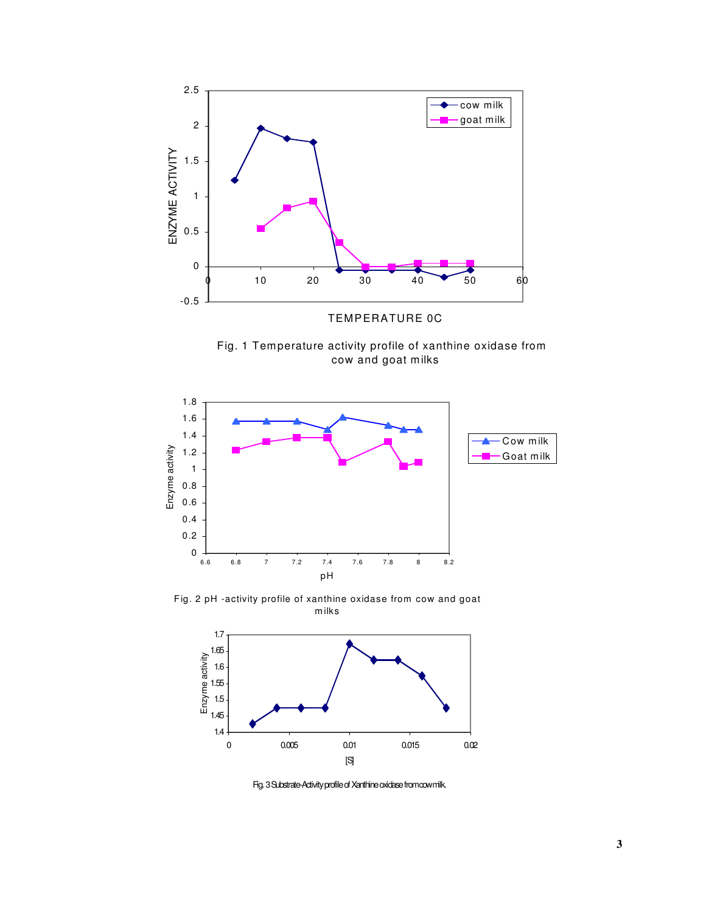

Fig. 1 Temperature activity profile of xanthine oxidase frome cow and goat milks



Fig. 2 pH -activity profile of xanthine oxidase from cow and goat m ilks



Fig. 3 Substrate-Activity profile of Xanthine oxidase from cowmilk.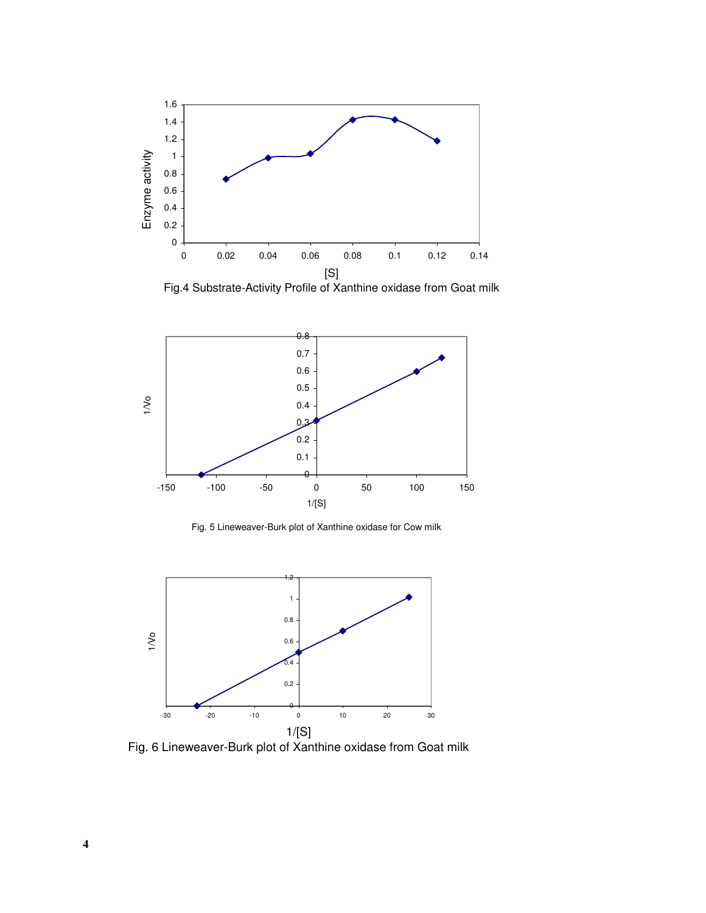

Fig.4 Substrate-Activity Profile of Xanthine oxidase from Goat milk



Fig. 5 Lineweaver-Burk plot of Xanthine oxidase for Cow milk



Fig. 6 Lineweaver-Burk plot of Xanthine oxidase from Goat milk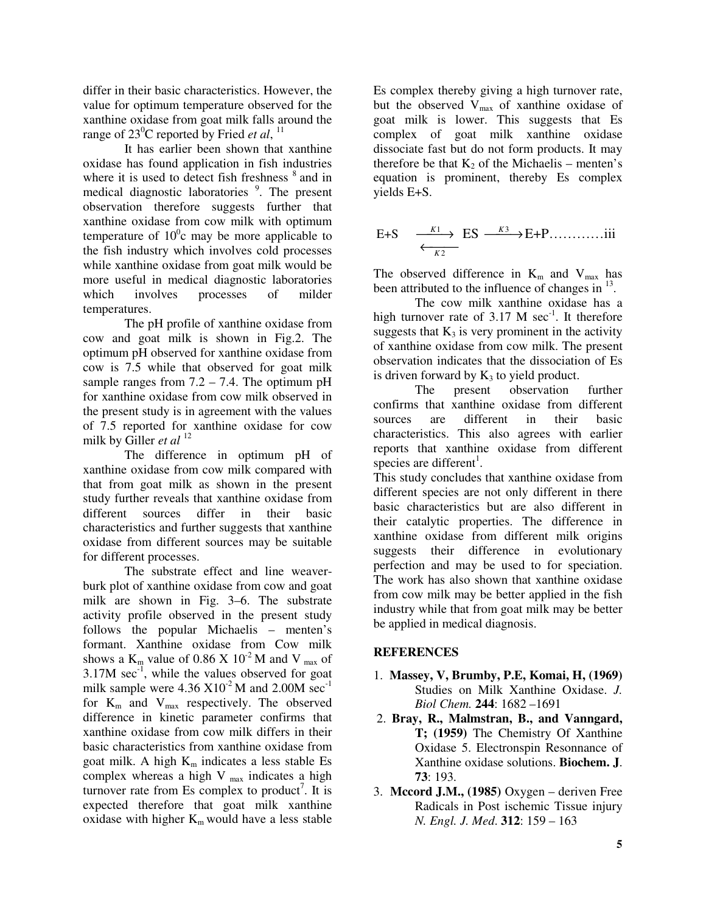differ in their basic characteristics. However, the value for optimum temperature observed for the xanthine oxidase from goat milk falls around the range of 23 <sup>0</sup>C reported by Fried *et al*, 11

It has earlier been shown that xanthine oxidase has found application in fish industries where it is used to detect fish freshness  $\frac{8}{3}$  and in medical diagnostic laboratories<sup>9</sup>. The present observation therefore suggests further that xanthine oxidase from cow milk with optimum temperature of  $10^{\circ}$ c may be more applicable to the fish industry which involves cold processes while xanthine oxidase from goat milk would be more useful in medical diagnostic laboratories which involves processes of milder temperatures.

The pH profile of xanthine oxidase from cow and goat milk is shown in Fig.2. The optimum pH observed for xanthine oxidase from cow is 7.5 while that observed for goat milk sample ranges from  $7.2 - 7.4$ . The optimum pH for xanthine oxidase from cow milk observed in the present study is in agreement with the values of 7.5 reported for xanthine oxidase for cow milk by Giller *et al* 12

The difference in optimum pH of xanthine oxidase from cow milk compared with that from goat milk as shown in the present study further reveals that xanthine oxidase from different sources differ in their basic characteristics and further suggests that xanthine oxidase from different sources may be suitable for different processes.

The substrate effect and line weaverburk plot of xanthine oxidase from cow and goat milk are shown in Fig. 3–6. The substrate activity profile observed in the present study follows the popular Michaelis – menten's formant. Xanthine oxidase from Cow milk shows a  $K_m$  value of 0.86 X 10<sup>-2</sup> M and V  $_{max}$  of  $3.17M$  sec<sup>-1</sup>, while the values observed for goat milk sample were  $4.36 \times 10^{-2}$  M and  $2.00M$  sec<sup>-1</sup> for  $K_m$  and  $V_{max}$  respectively. The observed difference in kinetic parameter confirms that xanthine oxidase from cow milk differs in their basic characteristics from xanthine oxidase from goat milk. A high  $K_m$  indicates a less stable Es complex whereas a high  $V_{\text{max}}$  indicates a high turnover rate from Es complex to product<sup>7</sup>. It is expected therefore that goat milk xanthine oxidase with higher  $K_m$  would have a less stable

Es complex thereby giving a high turnover rate, but the observed  $V_{\text{max}}$  of xanthine oxidase of goat milk is lower. This suggests that Es complex of goat milk xanthine oxidase dissociate fast but do not form products. It may therefore be that  $K_2$  of the Michaelis – menten's equation is prominent, thereby Es complex yields E+S.

E+S 
$$
\xrightarrow{K1}
$$
 ES  $\xrightarrow{K3}$  E+P...........iii  
 $\xleftarrow{K2}$ 

The observed difference in  $K_m$  and  $V_{max}$  has been attributed to the influence of changes in  $^{13}$ .

The cow milk xanthine oxidase has a high turnover rate of  $3.17 \text{ M} \text{ sec}^{-1}$ . It therefore suggests that  $K_3$  is very prominent in the activity of xanthine oxidase from cow milk. The present observation indicates that the dissociation of Es is driven forward by  $K_3$  to yield product.

The present observation further confirms that xanthine oxidase from different sources are different in their basic characteristics. This also agrees with earlier reports that xanthine oxidase from different species are different<sup>1</sup>.

This study concludes that xanthine oxidase from different species are not only different in there basic characteristics but are also different in their catalytic properties. The difference in xanthine oxidase from different milk origins suggests their difference in evolutionary perfection and may be used to for speciation. The work has also shown that xanthine oxidase from cow milk may be better applied in the fish industry while that from goat milk may be better be applied in medical diagnosis.

# **REFERENCES**

- 1. **Massey, V, Brumby, P.E, Komai, H, (1969)** Studies on Milk Xanthine Oxidase. *J. Biol Chem.* **244**: 1682 –1691
- 2. **Bray, R., Malmstran, B., and Vanngard, T; (1959)** The Chemistry Of Xanthine Oxidase 5. Electronspin Resonnance of Xanthine oxidase solutions. **Biochem. J**. **73**: 193.
- 3. **Mccord J.M., (1985)** Oxygen deriven Free Radicals in Post ischemic Tissue injury *N. Engl. J. Med*. **312**: 159 – 163